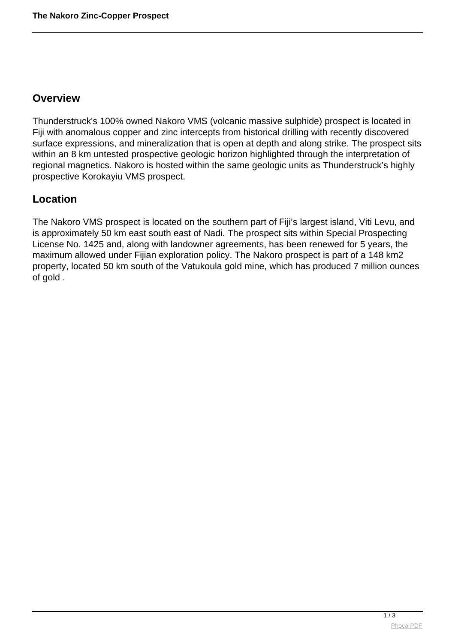#### **Overview**

Thunderstruck's 100% owned Nakoro VMS (volcanic massive sulphide) prospect is located in Fiji with anomalous copper and zinc intercepts from historical drilling with recently discovered surface expressions, and mineralization that is open at depth and along strike. The prospect sits within an 8 km untested prospective geologic horizon highlighted through the interpretation of regional magnetics. Nakoro is hosted within the same geologic units as Thunderstruck's highly prospective Korokayiu VMS prospect.

#### **Location**

The Nakoro VMS prospect is located on the southern part of Fiji's largest island, Viti Levu, and is approximately 50 km east south east of Nadi. The prospect sits within Special Prospecting License No. 1425 and, along with landowner agreements, has been renewed for 5 years, the maximum allowed under Fijian exploration policy. The Nakoro prospect is part of a 148 km2 property, located 50 km south of the Vatukoula gold mine, which has produced 7 million ounces of gold .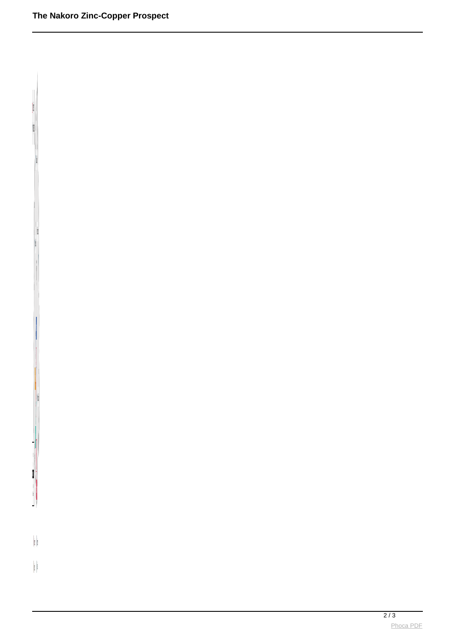